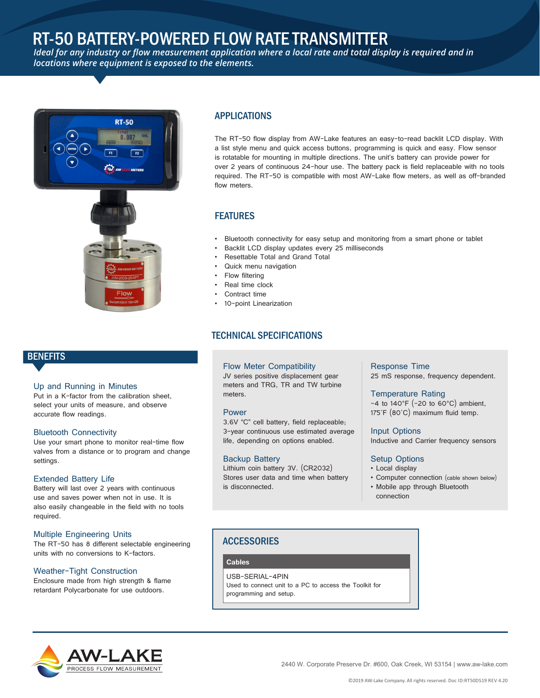# RT-50 BATTERY-POWERED FLOW RATE TRANSMITTER

*Ideal for any industry or flow measurement application where a local rate and total display is required and in locations where equipment is exposed to the elements.*





## **BENEFITS**

#### Up and Running in Minutes

Put in a K-factor from the calibration sheet, select your units of measure, and observe accurate flow readings.

#### Bluetooth Connectivity

Use your smart phone to monitor real-time flow valves from a distance or to program and change settings.

#### Extended Battery Life

Battery will last over 2 years with continuous use and saves power when not in use. It is also easily changeable in the field with no tools required.

#### Multiple Engineering Units

The RT-50 has 8 different selectable engineering units with no conversions to K-factors.

#### Weather-Tight Construction

Enclosure made from high strength & flame retardant Polycarbonate for use outdoors.

## APPLICATIONS

The RT-50 flow display from AW-Lake features an easy-to-read backlit LCD display. With a list style menu and quick access buttons, programming is quick and easy. Flow sensor is rotatable for mounting in multiple directions. The unit's battery can provide power for over 2 years of continuous 24-hour use. The battery pack is field replaceable with no tools required. The RT-50 is compatible with most AW-Lake flow meters, as well as off-branded flow meters.

## FEATURES

- Bluetooth connectivity for easy setup and monitoring from a smart phone or tablet
- Backlit LCD display updates every 25 milliseconds
- Resettable Total and Grand Total
- Quick menu navigation
- Flow filtering
- Real time clock
- Contract time
- 10-point Linearization

### TECHNICAL SPECIFICATIONS

Flow Meter Compatibility JV series positive displacement gear meters and TRG, TR and TW turbine meters.

#### Power

3.6V "C" cell battery, field replaceable; 3-year continuous use estimated average life, depending on options enabled.

#### Backup Battery

Lithium coin battery 3V. (CR2032) Stores user data and time when battery is disconnected.

#### Response Time

25 mS response, frequency dependent.

#### Temperature Rating

 $-4$  to 140°F (-20 to 60°C) ambient, 175˚F (80˚C) maximum fluid temp.

Input Options Inductive and Carrier frequency sensors

#### Setup Options

- Local display
- Computer connection (cable shown below)
- Mobile app through Bluetooth connection

### **ACCESSORIES**

**Cables**

USB-SERIAL-4PIN Used to connect unit to a PC to access the Toolkit for programming and setup.